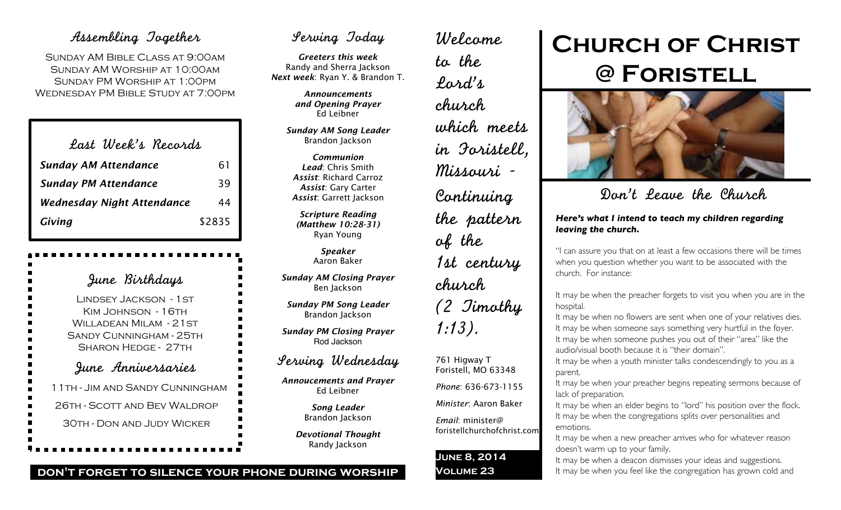## Assembling Together

SUNDAY AM BIBLE CLASS AT 9:00AM Sunday AM Worship at 10:00am Sunday PM Worship at 1:00pm Wednesday PM Bible Study at 7:00pm

| Last Week's Recards               |        |
|-----------------------------------|--------|
| <b>Sunday AM Attendance</b>       | 61     |
| <b>Sunday PM Attendance</b>       | 39     |
| <b>Wednesday Night Attendance</b> | 44     |
| Giving                            | \$2835 |

June Birthdays Lindsey Jackson - 1st KIM JOHNSON - 16TH WILLADEAN MILAM - 21 ST Sandy Cunningham - 25th Sharon Hedge - 27th June Anniversaries 11th - Jim and Sandy Cunningham 26th - Scott and Bev Waldrop 30th - Don and Judy Wicker

## Serving Today

*Greeters this week* Randy and Sherra Jackson *Next week*: Ryan Y. & Brandon T.

> *Announcements and Opening Prayer* Ed Leibner

*Sunday AM Song Leader* Brandon Jackson

*Communion Lead*: Chris Smith *Assist*: Richard Carroz *Assist*: Gary Carter *Assist*: Garrett Jackson

*Scripture Reading (Matthew 10:28-31)* Ryan Young

> *Speaker* Aaron Baker

*Sunday AM Closing Prayer* Ben Jackson

*Sunday PM Song Leader* Brandon Jackson

*Sunday PM Closing Prayer* Rod Jackson

## Serving Wednesday

*Annoucements and Prayer* Ed Leibner

> *Song Leader* Brandon Jackson

*Devotional Thought* Randy Jackson

## Welcome to the Lord's church which meets in Foristell, Missouri - Continuing the pattern of the 1st century church (2 Timothy 1:13). 761 Higway T

## Foristell, MO 63348

*Phone*: 636-673-1155

*Minister*: Aaron Baker

*Email*: minister@ foristellchurchofchrist.com

### **June 8, 2014 Volume 23**

# **Church of Christ @ Foristell**



Don't Leave the Church

#### *Here's what I intend to teach my children regarding leaving the church.*

"I can assure you that on at least a few occasions there will be times when you question whether you want to be associated with the church. For instance:

It may be when the preacher forgets to visit you when you are in the hospital.

It may be when no flowers are sent when one of your relatives dies. It may be when someone says something very hurtful in the foyer. It may be when someone pushes you out of their "area" like the audio/visual booth because it is "their domain".

It may be when a youth minister talks condescendingly to you as a parent.

It may be when your preacher begins repeating sermons because of lack of preparation.

It may be when an elder begins to "lord" his position over the flock. It may be when the congregations splits over personalities and emotions.

It may be when a new preacher arrives who for whatever reason doesn't warm up to your family.

It may be when a deacon dismisses your ideas and suggestions. It may be when you feel like the congregation has grown cold and

#### **don't forget to silence your phone during worship**